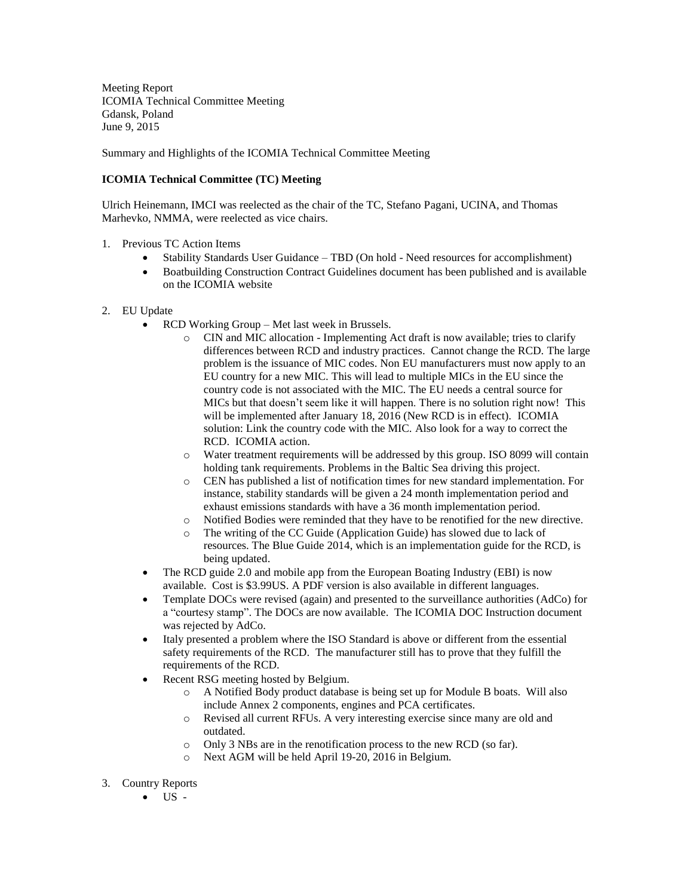Meeting Report ICOMIA Technical Committee Meeting Gdansk, Poland June 9, 2015

Summary and Highlights of the ICOMIA Technical Committee Meeting

## **ICOMIA Technical Committee (TC) Meeting**

Ulrich Heinemann, IMCI was reelected as the chair of the TC, Stefano Pagani, UCINA, and Thomas Marhevko, NMMA, were reelected as vice chairs.

- 1. Previous TC Action Items
	- Stability Standards User Guidance TBD (On hold Need resources for accomplishment)
	- Boatbuilding Construction Contract Guidelines document has been published and is available on the ICOMIA website
- 2. EU Update
	- RCD Working Group Met last week in Brussels.
		- $\circ$  CIN and MIC allocation Implementing Act draft is now available; tries to clarify differences between RCD and industry practices. Cannot change the RCD. The large problem is the issuance of MIC codes. Non EU manufacturers must now apply to an EU country for a new MIC. This will lead to multiple MICs in the EU since the country code is not associated with the MIC. The EU needs a central source for MICs but that doesn't seem like it will happen. There is no solution right now! This will be implemented after January 18, 2016 (New RCD is in effect). ICOMIA solution: Link the country code with the MIC. Also look for a way to correct the RCD. ICOMIA action.
		- o Water treatment requirements will be addressed by this group. ISO 8099 will contain holding tank requirements. Problems in the Baltic Sea driving this project.
		- o CEN has published a list of notification times for new standard implementation. For instance, stability standards will be given a 24 month implementation period and exhaust emissions standards with have a 36 month implementation period.
		- o Notified Bodies were reminded that they have to be renotified for the new directive.
		- o The writing of the CC Guide (Application Guide) has slowed due to lack of resources. The Blue Guide 2014, which is an implementation guide for the RCD, is being updated.
	- The RCD guide 2.0 and mobile app from the European Boating Industry (EBI) is now available. Cost is \$3.99US. A PDF version is also available in different languages.
	- Template DOCs were revised (again) and presented to the surveillance authorities (AdCo) for a "courtesy stamp". The DOCs are now available. The ICOMIA DOC Instruction document was rejected by AdCo.
	- Italy presented a problem where the ISO Standard is above or different from the essential safety requirements of the RCD. The manufacturer still has to prove that they fulfill the requirements of the RCD.
	- Recent RSG meeting hosted by Belgium.
		- o A Notified Body product database is being set up for Module B boats. Will also include Annex 2 components, engines and PCA certificates.
		- o Revised all current RFUs. A very interesting exercise since many are old and outdated.
		- o Only 3 NBs are in the renotification process to the new RCD (so far).
		- o Next AGM will be held April 19-20, 2016 in Belgium.
- 3. Country Reports
	- $\bullet$  US -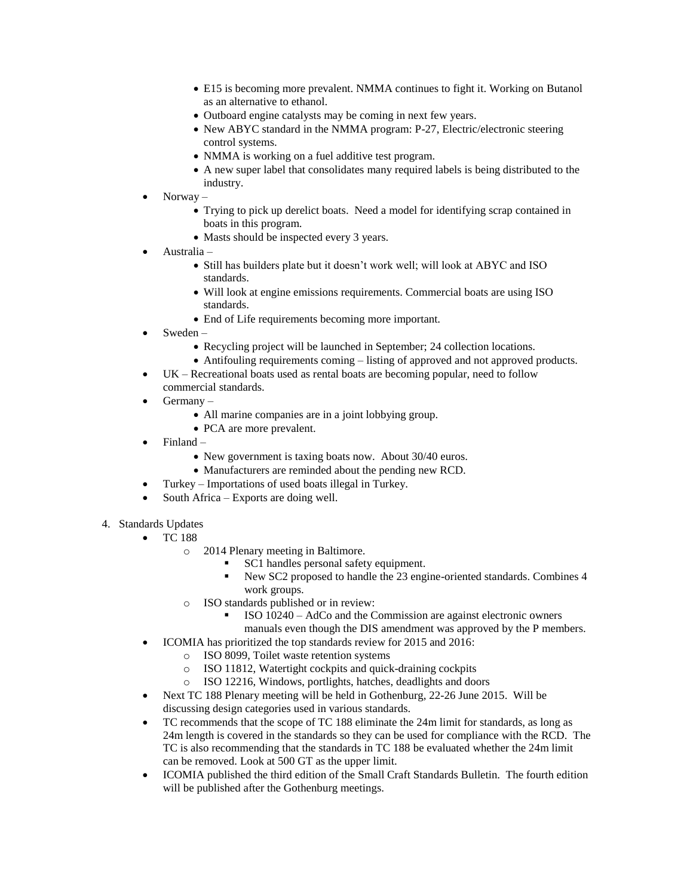- E15 is becoming more prevalent. NMMA continues to fight it. Working on Butanol as an alternative to ethanol.
- Outboard engine catalysts may be coming in next few years.
- New ABYC standard in the NMMA program: P-27, Electric/electronic steering control systems.
- NMMA is working on a fuel additive test program.
- A new super label that consolidates many required labels is being distributed to the industry.
- Norway
	- Trying to pick up derelict boats. Need a model for identifying scrap contained in boats in this program.
	- Masts should be inspected every 3 years.
- Australia
	- Still has builders plate but it doesn't work well; will look at ABYC and ISO standards.
	- Will look at engine emissions requirements. Commercial boats are using ISO standards.
	- End of Life requirements becoming more important.
- Sweden
	- Recycling project will be launched in September; 24 collection locations.
	- Antifouling requirements coming listing of approved and not approved products.
- UK Recreational boats used as rental boats are becoming popular, need to follow commercial standards.
- Germany
	- All marine companies are in a joint lobbying group.
	- PCA are more prevalent.
- Finland
	- New government is taxing boats now. About 30/40 euros.
	- Manufacturers are reminded about the pending new RCD.
- Turkey Importations of used boats illegal in Turkey.
- South Africa Exports are doing well.
- 4. Standards Updates
	- TC 188
		- o 2014 Plenary meeting in Baltimore.
			- SC1 handles personal safety equipment.
			- New SC2 proposed to handle the 23 engine-oriented standards. Combines 4 work groups.
		- o ISO standards published or in review:
			- ISO 10240 AdCo and the Commission are against electronic owners manuals even though the DIS amendment was approved by the P members.
	- ICOMIA has prioritized the top standards review for 2015 and 2016:
		- o ISO 8099, Toilet waste retention systems
		- o ISO 11812, Watertight cockpits and quick-draining cockpits
		- o ISO 12216, Windows, portlights, hatches, deadlights and doors
	- Next TC 188 Plenary meeting will be held in Gothenburg, 22-26 June 2015. Will be discussing design categories used in various standards.
	- TC recommends that the scope of TC 188 eliminate the 24m limit for standards, as long as 24m length is covered in the standards so they can be used for compliance with the RCD. The TC is also recommending that the standards in TC 188 be evaluated whether the 24m limit can be removed. Look at 500 GT as the upper limit.
	- ICOMIA published the third edition of the Small Craft Standards Bulletin. The fourth edition will be published after the Gothenburg meetings.